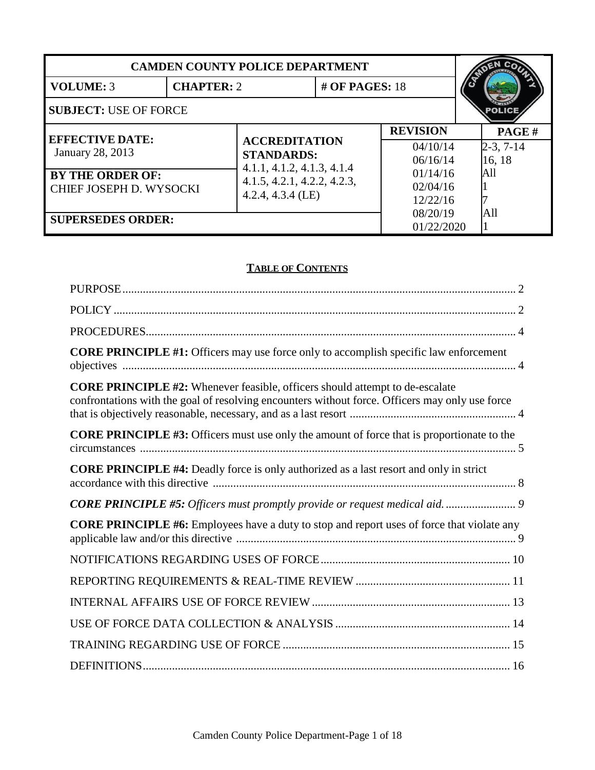| <b>CAMDEN COUNTY POLICE DEPARTMENT</b>             |                   |                                                 |                             |                 |             |
|----------------------------------------------------|-------------------|-------------------------------------------------|-----------------------------|-----------------|-------------|
| <b>VOLUME: 3</b>                                   | <b>CHAPTER: 2</b> |                                                 | # OF PAGES: $18$            |                 |             |
| <b>SUBJECT: USE OF FORCE</b>                       |                   |                                                 |                             |                 |             |
| <b>EFFECTIVE DATE:</b><br><b>January 28, 2013</b>  |                   |                                                 |                             | <b>REVISION</b> | PAGE#       |
|                                                    |                   | <b>ACCREDITATION</b>                            |                             | 04/10/14        | $2-3, 7-14$ |
|                                                    |                   | <b>STANDARDS:</b><br>4.1.1, 4.1.2, 4.1.3, 4.1.4 |                             | 06/16/14        | 16, 18      |
| <b>BY THE ORDER OF:</b><br>CHIEF JOSEPH D. WYSOCKI |                   |                                                 | 4.1.5, 4.2.1, 4.2.2, 4.2.3, | 01/14/16        | All         |
|                                                    |                   | $4.2.4, 4.3.4$ (LE)                             |                             | 02/04/16        |             |
|                                                    |                   |                                                 |                             | 12/22/16        |             |
| <b>SUPERSEDES ORDER:</b>                           |                   |                                                 |                             | 08/20/19        | All         |
|                                                    |                   |                                                 | 01/22/2020                  |                 |             |

# **TABLE OF CONTENTS**

| <b>CORE PRINCIPLE #1:</b> Officers may use force only to accomplish specific law enforcement                                                                                           |
|----------------------------------------------------------------------------------------------------------------------------------------------------------------------------------------|
| <b>CORE PRINCIPLE #2:</b> Whenever feasible, officers should attempt to de-escalate<br>confrontations with the goal of resolving encounters without force. Officers may only use force |
| <b>CORE PRINCIPLE #3:</b> Officers must use only the amount of force that is proportionate to the                                                                                      |
| <b>CORE PRINCIPLE #4:</b> Deadly force is only authorized as a last resort and only in strict                                                                                          |
|                                                                                                                                                                                        |
| <b>CORE PRINCIPLE #6:</b> Employees have a duty to stop and report uses of force that violate any                                                                                      |
|                                                                                                                                                                                        |
|                                                                                                                                                                                        |
|                                                                                                                                                                                        |
|                                                                                                                                                                                        |
|                                                                                                                                                                                        |
|                                                                                                                                                                                        |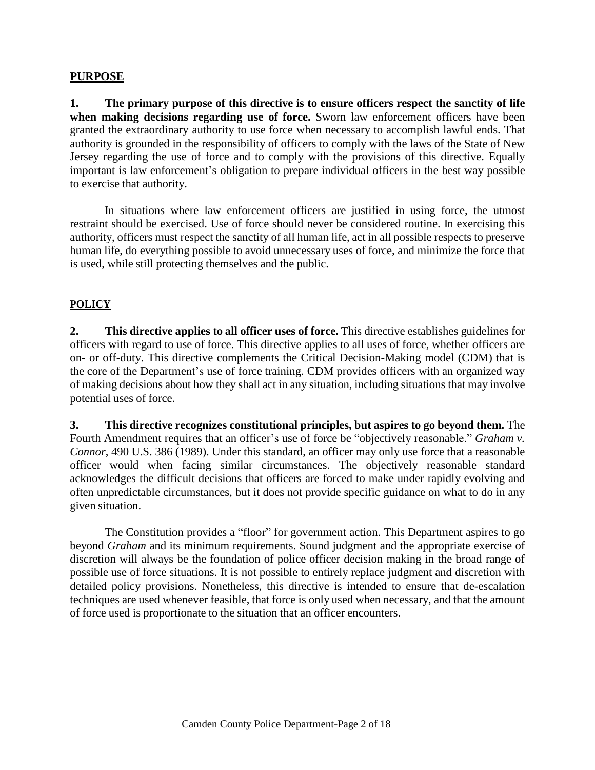#### <span id="page-1-0"></span>**PURPOSE**

**1. The primary purpose of this directive is to ensure officers respect the sanctity of life when making decisions regarding use of force.** Sworn law enforcement officers have been granted the extraordinary authority to use force when necessary to accomplish lawful ends. That authority is grounded in the responsibility of officers to comply with the laws of the State of New Jersey regarding the use of force and to comply with the provisions of this directive. Equally important is law enforcement's obligation to prepare individual officers in the best way possible to exercise that authority.

In situations where law enforcement officers are justified in using force, the utmost restraint should be exercised. Use of force should never be considered routine. In exercising this authority, officers must respect the sanctity of all human life, act in all possible respects to preserve human life, do everything possible to avoid unnecessary uses of force, and minimize the force that is used, while still protecting themselves and the public.

### <span id="page-1-1"></span>**POLICY**

**2. This directive applies to all officer uses of force.** This directive establishes guidelines for officers with regard to use of force. This directive applies to all uses of force, whether officers are on- or off-duty. This directive complements the Critical Decision-Making model (CDM) that is the core of the Department's use of force training. CDM provides officers with an organized way of making decisions about how they shall act in any situation, including situations that may involve potential uses of force.

**3. This directive recognizes constitutional principles, but aspires to go beyond them.** The Fourth Amendment requires that an officer's use of force be "objectively reasonable." *Graham v. Connor*, 490 U.S. 386 (1989). Under this standard, an officer may only use force that a reasonable officer would when facing similar circumstances. The objectively reasonable standard acknowledges the difficult decisions that officers are forced to make under rapidly evolving and often unpredictable circumstances, but it does not provide specific guidance on what to do in any given situation.

The Constitution provides a "floor" for government action. This Department aspires to go beyond *Graham* and its minimum requirements. Sound judgment and the appropriate exercise of discretion will always be the foundation of police officer decision making in the broad range of possible use of force situations. It is not possible to entirely replace judgment and discretion with detailed policy provisions. Nonetheless, this directive is intended to ensure that de-escalation techniques are used whenever feasible, that force is only used when necessary, and that the amount of force used is proportionate to the situation that an officer encounters.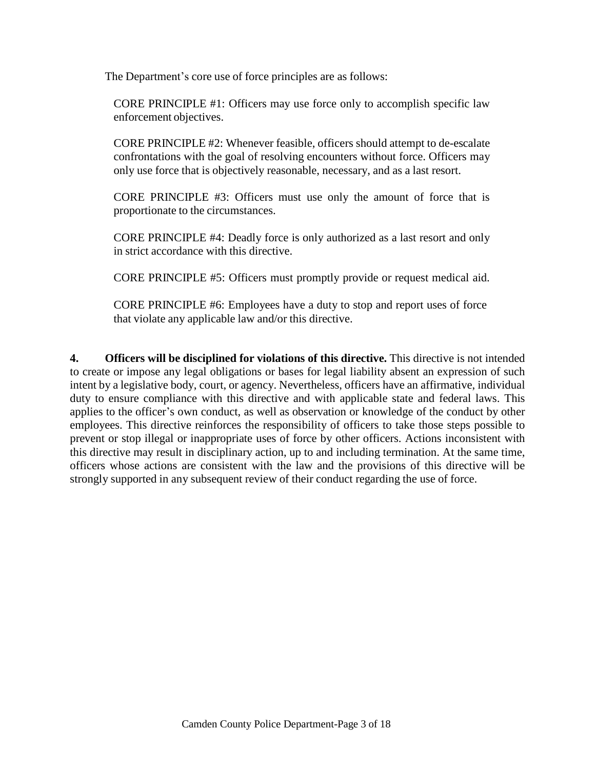The Department's core use of force principles are as follows:

CORE PRINCIPLE #1: Officers may use force only to accomplish specific law enforcement objectives.

CORE PRINCIPLE #2: Whenever feasible, officers should attempt to de-escalate confrontations with the goal of resolving encounters without force. Officers may only use force that is objectively reasonable, necessary, and as a last resort.

CORE PRINCIPLE #3: Officers must use only the amount of force that is proportionate to the circumstances.

CORE PRINCIPLE #4: Deadly force is only authorized as a last resort and only in strict accordance with this directive.

CORE PRINCIPLE #5: Officers must promptly provide or request medical aid.

CORE PRINCIPLE #6: Employees have a duty to stop and report uses of force that violate any applicable law and/or this directive.

**4. Officers will be disciplined for violations of this directive.** This directive is not intended to create or impose any legal obligations or bases for legal liability absent an expression of such intent by a legislative body, court, or agency. Nevertheless, officers have an affirmative, individual duty to ensure compliance with this directive and with applicable state and federal laws. This applies to the officer's own conduct, as well as observation or knowledge of the conduct by other employees. This directive reinforces the responsibility of officers to take those steps possible to prevent or stop illegal or inappropriate uses of force by other officers. Actions inconsistent with this directive may result in disciplinary action, up to and including termination. At the same time, officers whose actions are consistent with the law and the provisions of this directive will be strongly supported in any subsequent review of their conduct regarding the use of force.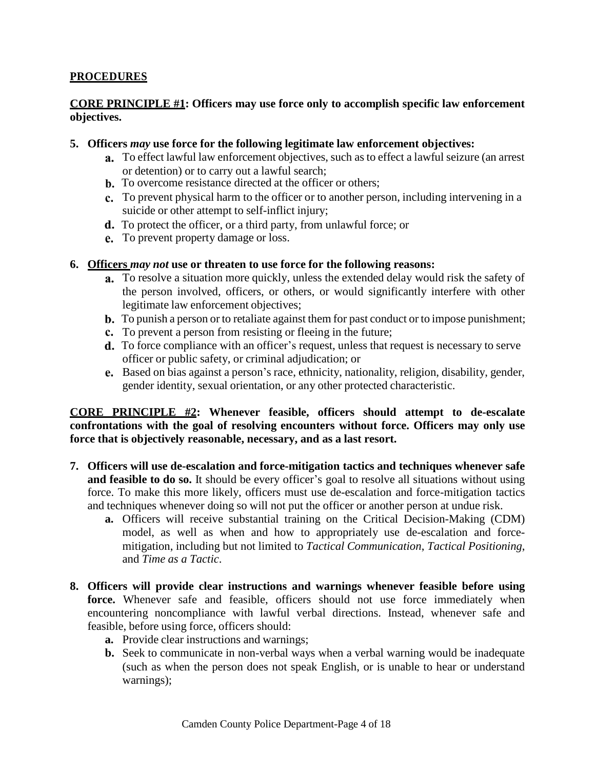## <span id="page-3-0"></span>**PROCEDURES**

### <span id="page-3-1"></span>**CORE PRINCIPLE #1: Officers may use force only to accomplish specific law enforcement objectives.**

#### **5. Officers** *may* **use force for the following legitimate law enforcement objectives:**

- To effect lawful law enforcement objectives, such as to effect a lawful seizure (an arrest or detention) or to carry out a lawful search;
- **b.** To overcome resistance directed at the officer or others;
- To prevent physical harm to the officer or to another person, including intervening in a suicide or other attempt to self-inflict injury;
- d. To protect the officer, or a third party, from unlawful force; or
- To prevent property damage or loss.

#### **6. Officers** *may not* **use or threaten to use force for the following reasons:**

- To resolve a situation more quickly, unless the extended delay would risk the safety of the person involved, officers, or others, or would significantly interfere with other legitimate law enforcement objectives;
- **b.** To punish a person or to retaliate against them for past conduct or to impose punishment;
- To prevent a person from resisting or fleeing in the future;
- d. To force compliance with an officer's request, unless that request is necessary to serve officer or public safety, or criminal adjudication; or
- Based on bias against a person's race, ethnicity, nationality, religion, disability, gender, gender identity, sexual orientation, or any other protected characteristic.

### <span id="page-3-2"></span>**CORE PRINCIPLE #2: Whenever feasible, officers should attempt to de-escalate confrontations with the goal of resolving encounters without force. Officers may only use force that is objectively reasonable, necessary, and as a last resort.**

- **7. Officers will use de-escalation and force-mitigation tactics and techniques whenever safe and feasible to do so.** It should be every officer's goal to resolve all situations without using force. To make this more likely, officers must use de-escalation and force-mitigation tactics and techniques whenever doing so will not put the officer or another person at undue risk.
	- **a.** Officers will receive substantial training on the Critical Decision-Making (CDM) model, as well as when and how to appropriately use de-escalation and forcemitigation, including but not limited to *Tactical Communication*, *Tactical Positioning*, and *Time as a Tactic*.
- **8. Officers will provide clear instructions and warnings whenever feasible before using**  force. Whenever safe and feasible, officers should not use force immediately when encountering noncompliance with lawful verbal directions. Instead, whenever safe and feasible, before using force, officers should:
	- **a.** Provide clear instructions and warnings;
	- **b.** Seek to communicate in non-verbal ways when a verbal warning would be inadequate (such as when the person does not speak English, or is unable to hear or understand warnings);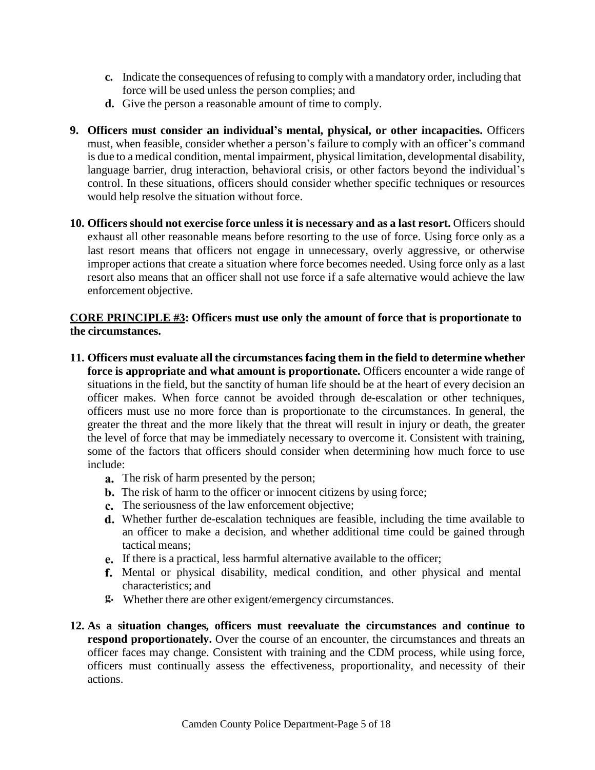- **c.** Indicate the consequences of refusing to comply with a mandatory order, including that force will be used unless the person complies; and
- **d.** Give the person a reasonable amount of time to comply.
- **9. Officers must consider an individual's mental, physical, or other incapacities.** Officers must, when feasible, consider whether a person's failure to comply with an officer's command is due to a medical condition, mental impairment, physical limitation, developmental disability, language barrier, drug interaction, behavioral crisis, or other factors beyond the individual's control. In these situations, officers should consider whether specific techniques or resources would help resolve the situation without force.
- **10. Officers should not exercise force unless it is necessary and as a last resort.** Officers should exhaust all other reasonable means before resorting to the use of force. Using force only as a last resort means that officers not engage in unnecessary, overly aggressive, or otherwise improper actions that create a situation where force becomes needed. Using force only as a last resort also means that an officer shall not use force if a safe alternative would achieve the law enforcement objective.

### <span id="page-4-0"></span>**CORE PRINCIPLE #3: Officers must use only the amount of force that is proportionate to the circumstances.**

- **11. Officers must evaluate all the circumstances facing them in the field to determine whether force is appropriate and what amount is proportionate.** Officers encounter a wide range of situations in the field, but the sanctity of human life should be at the heart of every decision an officer makes. When force cannot be avoided through de-escalation or other techniques, officers must use no more force than is proportionate to the circumstances. In general, the greater the threat and the more likely that the threat will result in injury or death, the greater the level of force that may be immediately necessary to overcome it. Consistent with training, some of the factors that officers should consider when determining how much force to use include:
	- **a.** The risk of harm presented by the person;
	- **b.** The risk of harm to the officer or innocent citizens by using force;
	- c. The seriousness of the law enforcement objective;
	- Whether further de-escalation techniques are feasible, including the time available to an officer to make a decision, and whether additional time could be gained through tactical means;
	- If there is a practical, less harmful alternative available to the officer;
	- f. Mental or physical disability, medical condition, and other physical and mental characteristics; and
	- Whether there are other exigent/emergency circumstances.
- **12. As a situation changes, officers must reevaluate the circumstances and continue to respond proportionately.** Over the course of an encounter, the circumstances and threats an officer faces may change. Consistent with training and the CDM process, while using force, officers must continually assess the effectiveness, proportionality, and necessity of their actions.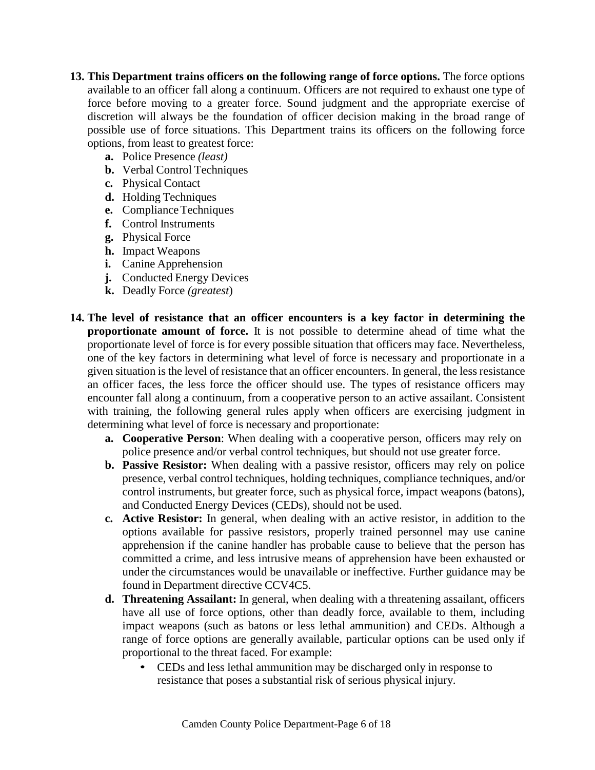- **13. This Department trains officers on the following range of force options.** The force options available to an officer fall along a continuum. Officers are not required to exhaust one type of force before moving to a greater force. Sound judgment and the appropriate exercise of discretion will always be the foundation of officer decision making in the broad range of possible use of force situations. This Department trains its officers on the following force options, from least to greatest force:
	- **a.** Police Presence *(least)*
	- **b.** Verbal Control Techniques
	- **c.** Physical Contact
	- **d.** Holding Techniques
	- **e.** Compliance Techniques
	- **f.** Control Instruments
	- **g.** Physical Force
	- **h.** Impact Weapons
	- **i.** Canine Apprehension
	- **j.** Conducted Energy Devices
	- **k.** Deadly Force *(greatest*)
- **14. The level of resistance that an officer encounters is a key factor in determining the proportionate amount of force.** It is not possible to determine ahead of time what the proportionate level of force is for every possible situation that officers may face. Nevertheless, one of the key factors in determining what level of force is necessary and proportionate in a given situation isthe level of resistance that an officer encounters. In general, the less resistance an officer faces, the less force the officer should use. The types of resistance officers may encounter fall along a continuum, from a cooperative person to an active assailant. Consistent with training, the following general rules apply when officers are exercising judgment in determining what level of force is necessary and proportionate:
	- **a. Cooperative Person**: When dealing with a cooperative person, officers may rely on police presence and/or verbal control techniques, but should not use greater force.
	- **b. Passive Resistor:** When dealing with a passive resistor, officers may rely on police presence, verbal control techniques, holding techniques, compliance techniques, and/or control instruments, but greater force, such as physical force, impact weapons (batons), and Conducted Energy Devices (CEDs), should not be used.
	- **c. Active Resistor:** In general, when dealing with an active resistor, in addition to the options available for passive resistors, properly trained personnel may use canine apprehension if the canine handler has probable cause to believe that the person has committed a crime, and less intrusive means of apprehension have been exhausted or under the circumstances would be unavailable or ineffective. Further guidance may be found in Department directive CCV4C5.
	- **d. Threatening Assailant:** In general, when dealing with a threatening assailant, officers have all use of force options, other than deadly force, available to them, including impact weapons (such as batons or less lethal ammunition) and CEDs. Although a range of force options are generally available, particular options can be used only if proportional to the threat faced. For example:
		- CEDs and less lethal ammunition may be discharged only in response to resistance that poses a substantial risk of serious physical injury.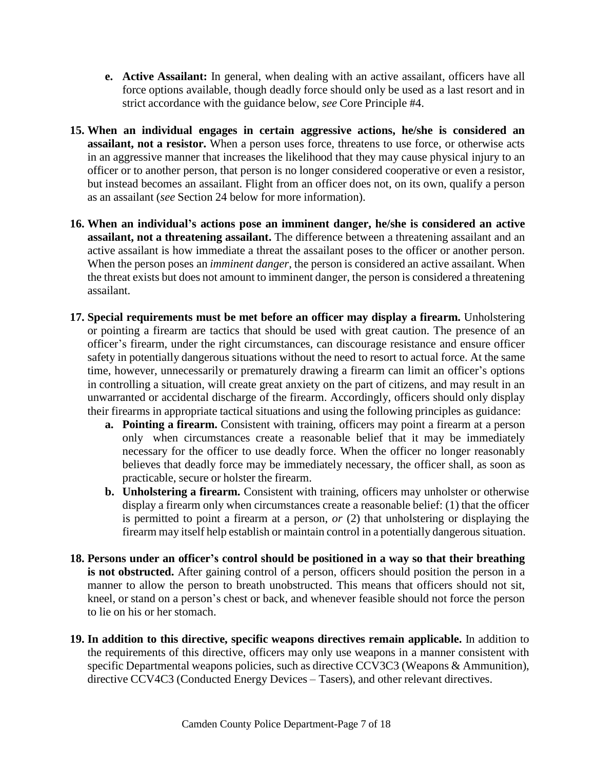- **e. Active Assailant:** In general, when dealing with an active assailant, officers have all force options available, though deadly force should only be used as a last resort and in strict accordance with the guidance below, *see* Core Principle #4.
- **15. When an individual engages in certain aggressive actions, he/she is considered an assailant, not a resistor.** When a person uses force, threatens to use force, or otherwise acts in an aggressive manner that increases the likelihood that they may cause physical injury to an officer or to another person, that person is no longer considered cooperative or even a resistor, but instead becomes an assailant. Flight from an officer does not, on its own, qualify a person as an assailant (*see* Section 24 below for more information).
- **16. When an individual's actions pose an imminent danger, he/she is considered an active assailant, not a threatening assailant.** The difference between a threatening assailant and an active assailant is how immediate a threat the assailant poses to the officer or another person. When the person poses an *imminent danger*, the person is considered an active assailant. When the threat exists but does not amount to imminent danger, the person is considered a threatening assailant.
- **17. Special requirements must be met before an officer may display a firearm.** Unholstering or pointing a firearm are tactics that should be used with great caution. The presence of an officer's firearm, under the right circumstances, can discourage resistance and ensure officer safety in potentially dangerous situations without the need to resort to actual force. At the same time, however, unnecessarily or prematurely drawing a firearm can limit an officer's options in controlling a situation, will create great anxiety on the part of citizens, and may result in an unwarranted or accidental discharge of the firearm. Accordingly, officers should only display their firearms in appropriate tactical situations and using the following principles as guidance:
	- **a. Pointing a firearm.** Consistent with training, officers may point a firearm at a person only when circumstances create a reasonable belief that it may be immediately necessary for the officer to use deadly force. When the officer no longer reasonably believes that deadly force may be immediately necessary, the officer shall, as soon as practicable, secure or holster the firearm.
	- **b. Unholstering a firearm.** Consistent with training, officers may unholster or otherwise display a firearm only when circumstances create a reasonable belief: (1) that the officer is permitted to point a firearm at a person, *or* (2) that unholstering or displaying the firearm may itself help establish or maintain control in a potentially dangerous situation.
- **18. Persons under an officer's control should be positioned in a way so that their breathing is not obstructed.** After gaining control of a person, officers should position the person in a manner to allow the person to breath unobstructed. This means that officers should not sit, kneel, or stand on a person's chest or back, and whenever feasible should not force the person to lie on his or her stomach.
- **19. In addition to this directive, specific weapons directives remain applicable.** In addition to the requirements of this directive, officers may only use weapons in a manner consistent with specific Departmental weapons policies, such as directive CCV3C3 (Weapons & Ammunition), directive CCV4C3 (Conducted Energy Devices – Tasers), and other relevant directives.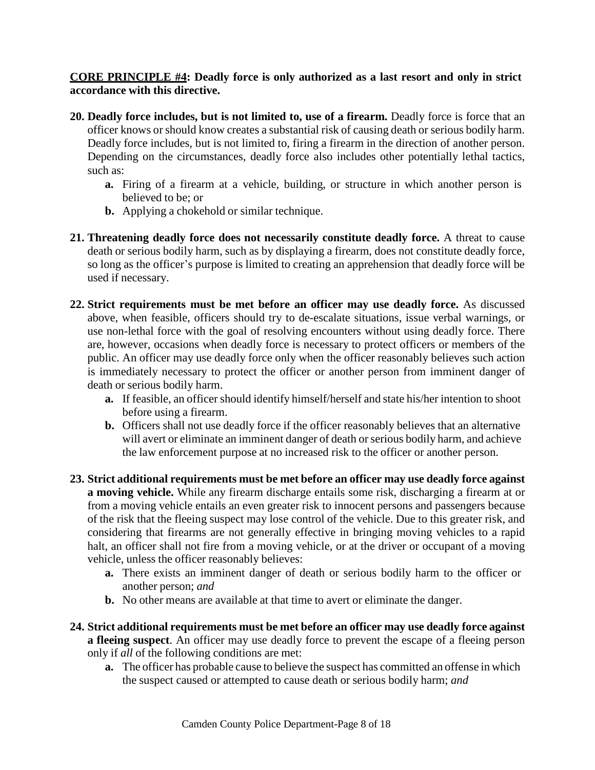<span id="page-7-0"></span>**CORE PRINCIPLE #4: Deadly force is only authorized as a last resort and only in strict accordance with this directive.**

- **20. Deadly force includes, but is not limited to, use of a firearm.** Deadly force is force that an officer knows orshould know creates a substantial risk of causing death or serious bodily harm. Deadly force includes, but is not limited to, firing a firearm in the direction of another person. Depending on the circumstances, deadly force also includes other potentially lethal tactics, such as:
	- **a.** Firing of a firearm at a vehicle, building, or structure in which another person is believed to be; or
	- **b.** Applying a chokehold or similar technique.
- **21. Threatening deadly force does not necessarily constitute deadly force.** A threat to cause death or serious bodily harm, such as by displaying a firearm, does not constitute deadly force, so long as the officer's purpose is limited to creating an apprehension that deadly force will be used if necessary.
- **22. Strict requirements must be met before an officer may use deadly force.** As discussed above, when feasible, officers should try to de-escalate situations, issue verbal warnings, or use non-lethal force with the goal of resolving encounters without using deadly force. There are, however, occasions when deadly force is necessary to protect officers or members of the public. An officer may use deadly force only when the officer reasonably believes such action is immediately necessary to protect the officer or another person from imminent danger of death or serious bodily harm.
	- **a.** If feasible, an officer should identify himself/herself and state his/her intention to shoot before using a firearm.
	- **b.** Officers shall not use deadly force if the officer reasonably believes that an alternative will avert or eliminate an imminent danger of death or serious bodily harm, and achieve the law enforcement purpose at no increased risk to the officer or another person.
- **23. Strict additional requirements must be met before an officer may use deadly force against a moving vehicle.** While any firearm discharge entails some risk, discharging a firearm at or from a moving vehicle entails an even greater risk to innocent persons and passengers because of the risk that the fleeing suspect may lose control of the vehicle. Due to this greater risk, and considering that firearms are not generally effective in bringing moving vehicles to a rapid halt, an officer shall not fire from a moving vehicle, or at the driver or occupant of a moving vehicle, unless the officer reasonably believes:
	- **a.** There exists an imminent danger of death or serious bodily harm to the officer or another person; *and*
	- **b.** No other means are available at that time to avert or eliminate the danger.
- **24. Strict additional requirements must be met before an officer may use deadly force against a fleeing suspect**. An officer may use deadly force to prevent the escape of a fleeing person only if *all* of the following conditions are met:
	- **a.** The officer has probable cause to believe the suspect has committed an offense in which the suspect caused or attempted to cause death or serious bodily harm; *and*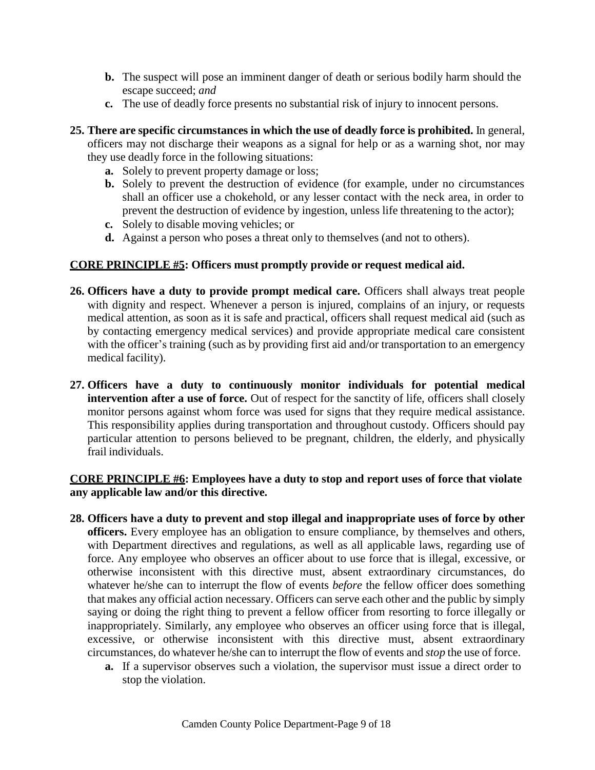- **b.** The suspect will pose an imminent danger of death or serious bodily harm should the escape succeed; *and*
- **c.** The use of deadly force presents no substantial risk of injury to innocent persons.
- **25. There are specific circumstances in which the use of deadly force is prohibited.** In general, officers may not discharge their weapons as a signal for help or as a warning shot, nor may they use deadly force in the following situations:
	- **a.** Solely to prevent property damage or loss;
	- **b.** Solely to prevent the destruction of evidence (for example, under no circumstances shall an officer use a chokehold, or any lesser contact with the neck area, in order to prevent the destruction of evidence by ingestion, unless life threatening to the actor);
	- **c.** Solely to disable moving vehicles; or
	- **d.** Against a person who poses a threat only to themselves (and not to others).

### <span id="page-8-0"></span>**CORE PRINCIPLE #5: Officers must promptly provide or request medical aid.**

- **26. Officers have a duty to provide prompt medical care.** Officers shall always treat people with dignity and respect. Whenever a person is injured, complains of an injury, or requests medical attention, as soon as it is safe and practical, officers shall request medical aid (such as by contacting emergency medical services) and provide appropriate medical care consistent with the officer's training (such as by providing first aid and/or transportation to an emergency medical facility).
- **27. Officers have a duty to continuously monitor individuals for potential medical intervention after a use of force.** Out of respect for the sanctity of life, officers shall closely monitor persons against whom force was used for signs that they require medical assistance. This responsibility applies during transportation and throughout custody. Officers should pay particular attention to persons believed to be pregnant, children, the elderly, and physically frail individuals.

### <span id="page-8-1"></span>**CORE PRINCIPLE #6: Employees have a duty to stop and report uses of force that violate any applicable law and/or this directive.**

- **28. Officers have a duty to prevent and stop illegal and inappropriate uses of force by other officers.** Every employee has an obligation to ensure compliance, by themselves and others, with Department directives and regulations, as well as all applicable laws, regarding use of force. Any employee who observes an officer about to use force that is illegal, excessive, or otherwise inconsistent with this directive must, absent extraordinary circumstances, do whatever he/she can to interrupt the flow of events *before* the fellow officer does something that makes any official action necessary. Officers can serve each other and the public by simply saying or doing the right thing to prevent a fellow officer from resorting to force illegally or inappropriately. Similarly, any employee who observes an officer using force that is illegal, excessive, or otherwise inconsistent with this directive must, absent extraordinary circumstances, do whatever he/she can to interrupt the flow of events and *stop* the use of force.
	- **a.** If a supervisor observes such a violation, the supervisor must issue a direct order to stop the violation.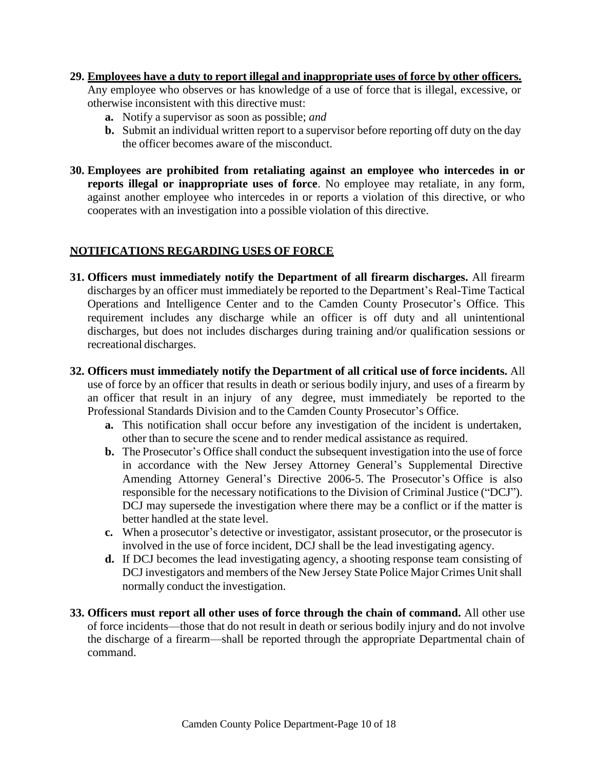#### **29. Employees have a duty to report illegal and inappropriate uses of force by other officers.**

Any employee who observes or has knowledge of a use of force that is illegal, excessive, or otherwise inconsistent with this directive must:

- **a.** Notify a supervisor as soon as possible; *and*
- **b.** Submit an individual written report to a supervisor before reporting off duty on the day the officer becomes aware of the misconduct.
- **30. Employees are prohibited from retaliating against an employee who intercedes in or reports illegal or inappropriate uses of force**. No employee may retaliate, in any form, against another employee who intercedes in or reports a violation of this directive, or who cooperates with an investigation into a possible violation of this directive.

## <span id="page-9-0"></span>**NOTIFICATIONS REGARDING USES OF FORCE**

- **31. Officers must immediately notify the Department of all firearm discharges.** All firearm discharges by an officer must immediately be reported to the Department's Real-Time Tactical Operations and Intelligence Center and to the Camden County Prosecutor's Office. This requirement includes any discharge while an officer is off duty and all unintentional discharges, but does not includes discharges during training and/or qualification sessions or recreational discharges.
- **32. Officers must immediately notify the Department of all critical use of force incidents.** All use of force by an officer that results in death or serious bodily injury, and uses of a firearm by an officer that result in an injury of any degree, must immediately be reported to the Professional Standards Division and to the Camden County Prosecutor's Office.
	- **a.** This notification shall occur before any investigation of the incident is undertaken, other than to secure the scene and to render medical assistance as required.
	- **b.** The Prosecutor's Office shall conduct the subsequent investigation into the use of force in accordance with the New Jersey Attorney General's Supplemental Directive Amending Attorney General's Directive 2006-5. The Prosecutor's Office is also responsible for the necessary notifications to the Division of Criminal Justice ("DCJ"). DCJ may supersede the investigation where there may be a conflict or if the matter is better handled at the state level.
	- **c.** When a prosecutor's detective or investigator, assistant prosecutor, or the prosecutor is involved in the use of force incident, DCJ shall be the lead investigating agency.
	- **d.** If DCJ becomes the lead investigating agency, a shooting response team consisting of DCJ investigators and members of the New Jersey State Police Major Crimes Unit shall normally conduct the investigation.
- **33. Officers must report all other uses of force through the chain of command.** All other use of force incidents—those that do not result in death or serious bodily injury and do not involve the discharge of a firearm—shall be reported through the appropriate Departmental chain of command.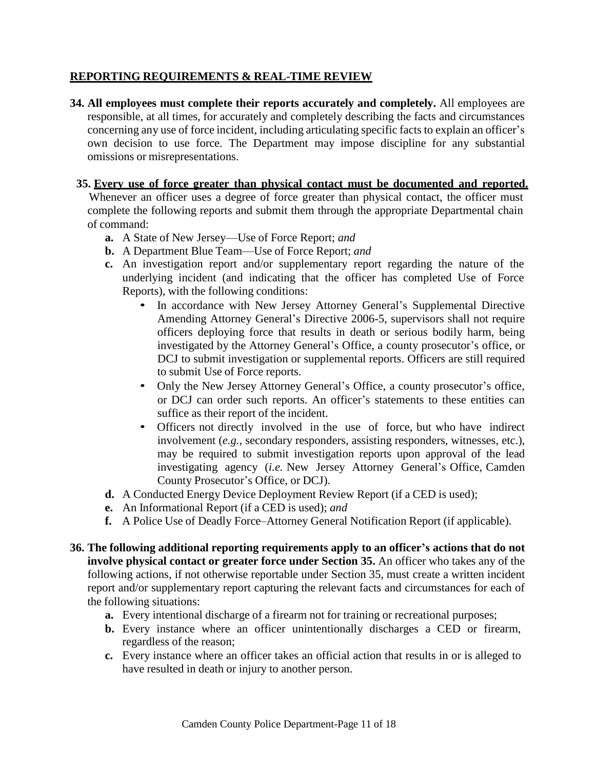## <span id="page-10-0"></span>**REPORTING REQUIREMENTS & REAL-TIME REVIEW**

**34. All employees must complete their reports accurately and completely.** All employees are responsible, at all times, for accurately and completely describing the facts and circumstances concerning any use of force incident, including articulating specific facts to explain an officer's own decision to use force. The Department may impose discipline for any substantial omissions or misrepresentations.

## **35. Every use of force greater than physical contact must be documented and reported.**

Whenever an officer uses a degree of force greater than physical contact, the officer must complete the following reports and submit them through the appropriate Departmental chain of command:

- **a.** A State of New Jersey—Use of Force Report; *and*
- **b.** A Department Blue Team—Use of Force Report; *and*
- **c.** An investigation report and/or supplementary report regarding the nature of the underlying incident (and indicating that the officer has completed Use of Force Reports), with the following conditions:
	- In accordance with New Jersey Attorney General's Supplemental Directive Amending Attorney General's Directive 2006-5, supervisors shall not require officers deploying force that results in death or serious bodily harm, being investigated by the Attorney General's Office, a county prosecutor's office, or DCJ to submit investigation or supplemental reports. Officers are still required to submit Use of Force reports.
	- Only the New Jersey Attorney General's Office, a county prosecutor's office, or DCJ can order such reports. An officer's statements to these entities can suffice as their report of the incident.
	- Officers not directly involved in the use of force, but who have indirect involvement (*e.g.*, secondary responders, assisting responders, witnesses, etc.), may be required to submit investigation reports upon approval of the lead investigating agency (*i.e.* New Jersey Attorney General's Office, Camden County Prosecutor's Office, or DCJ).
- **d.** A Conducted Energy Device Deployment Review Report (if a CED is used);
- **e.** An Informational Report (if a CED is used); *and*
- **f.** A Police Use of Deadly Force–Attorney General Notification Report (if applicable).
- **36. The following additional reporting requirements apply to an officer's actions that do not involve physical contact or greater force under Section 35.** An officer who takes any of the following actions, if not otherwise reportable under Section 35, must create a written incident report and/or supplementary report capturing the relevant facts and circumstances for each of the following situations:
	- **a.** Every intentional discharge of a firearm not for training or recreational purposes;
	- **b.** Every instance where an officer unintentionally discharges a CED or firearm, regardless of the reason;
	- **c.** Every instance where an officer takes an official action that results in or is alleged to have resulted in death or injury to another person.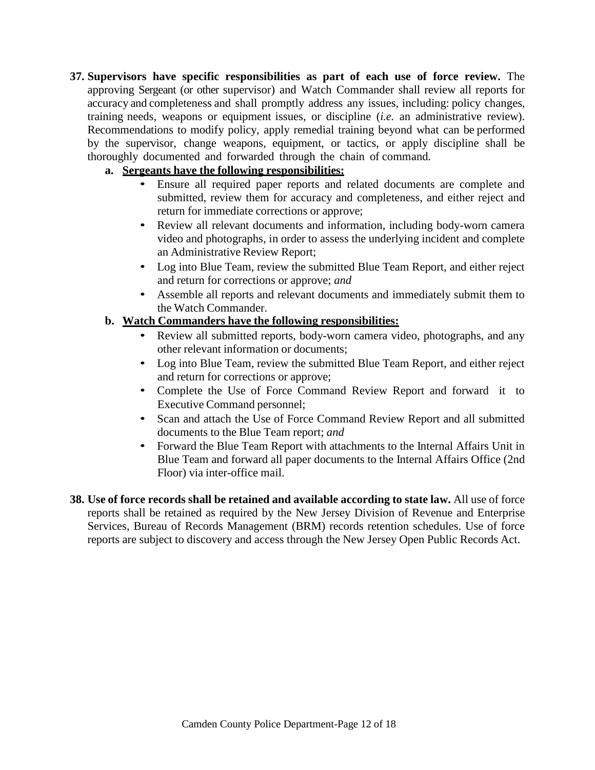- **37. Supervisors have specific responsibilities as part of each use of force review.** The approving Sergeant (or other supervisor) and Watch Commander shall review all reports for accuracy and completeness and shall promptly address any issues, including: policy changes, training needs, weapons or equipment issues, or discipline (*i.e.* an administrative review). Recommendations to modify policy, apply remedial training beyond what can be performed by the supervisor, change weapons, equipment, or tactics, or apply discipline shall be thoroughly documented and forwarded through the chain of command.
	- **a. Sergeants have the following responsibilities:**
		- Ensure all required paper reports and related documents are complete and submitted, review them for accuracy and completeness, and either reject and return for immediate corrections or approve;
		- Review all relevant documents and information, including body-worn camera video and photographs, in order to assess the underlying incident and complete an Administrative Review Report;
		- Log into Blue Team, review the submitted Blue Team Report, and either reject and return for corrections or approve; *and*
		- Assemble all reports and relevant documents and immediately submit them to the Watch Commander.

## **b. Watch Commanders have the following responsibilities:**

- Review all submitted reports, body-worn camera video, photographs, and any other relevant information or documents;
- Log into Blue Team, review the submitted Blue Team Report, and either reject and return for corrections or approve;
- Complete the Use of Force Command Review Report and forward it to Executive Command personnel;
- Scan and attach the Use of Force Command Review Report and all submitted documents to the Blue Team report; *and*
- Forward the Blue Team Report with attachments to the Internal Affairs Unit in Blue Team and forward all paper documents to the Internal Affairs Office (2nd Floor) via inter-office mail.
- **38. Use of force records shall be retained and available according to state law.** All use of force reports shall be retained as required by the New Jersey Division of Revenue and Enterprise Services, Bureau of Records Management (BRM) records retention schedules. Use of force reports are subject to discovery and access through the New Jersey Open Public Records Act.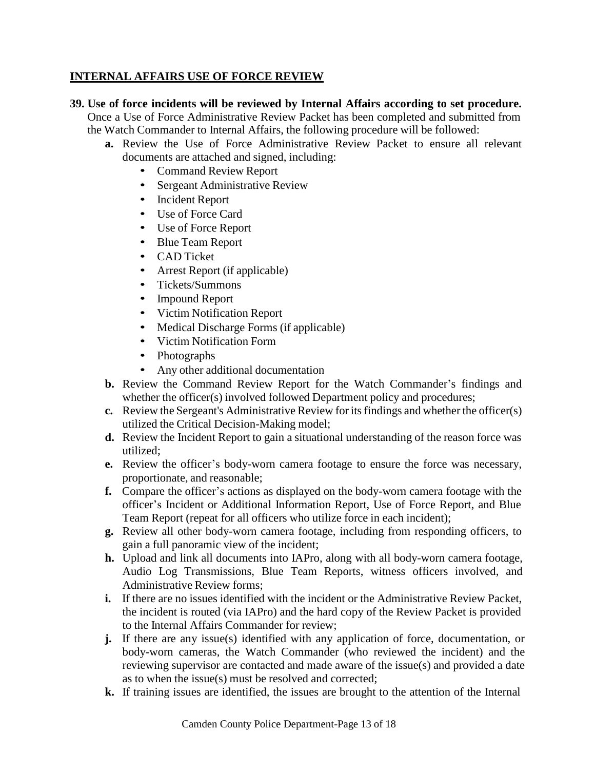## <span id="page-12-0"></span>**INTERNAL AFFAIRS USE OF FORCE REVIEW**

- **39. Use of force incidents will be reviewed by Internal Affairs according to set procedure.** Once a Use of Force Administrative Review Packet has been completed and submitted from the Watch Commander to Internal Affairs, the following procedure will be followed:
	- **a.** Review the Use of Force Administrative Review Packet to ensure all relevant documents are attached and signed, including:
		- Command Review Report
		- Sergeant Administrative Review
		- Incident Report
		- Use of Force Card
		- Use of Force Report
		- Blue Team Report
		- CAD Ticket
		- Arrest Report (if applicable)
		- Tickets/Summons
		- Impound Report
		- Victim Notification Report
		- Medical Discharge Forms (if applicable)
		- Victim Notification Form
		- Photographs
		- Any other additional documentation
	- **b.** Review the Command Review Report for the Watch Commander's findings and whether the officer(s) involved followed Department policy and procedures;
	- **c.** Review the Sergeant's Administrative Review foritsfindings and whether the officer(s) utilized the Critical Decision-Making model;
	- **d.** Review the Incident Report to gain a situational understanding of the reason force was utilized;
	- **e.** Review the officer's body-worn camera footage to ensure the force was necessary, proportionate, and reasonable;
	- **f.** Compare the officer's actions as displayed on the body-worn camera footage with the officer's Incident or Additional Information Report, Use of Force Report, and Blue Team Report (repeat for all officers who utilize force in each incident);
	- **g.** Review all other body-worn camera footage, including from responding officers, to gain a full panoramic view of the incident;
	- **h.** Upload and link all documents into IAPro, along with all body-worn camera footage, Audio Log Transmissions, Blue Team Reports, witness officers involved, and Administrative Review forms;
	- **i.** If there are no issues identified with the incident or the Administrative Review Packet, the incident is routed (via IAPro) and the hard copy of the Review Packet is provided to the Internal Affairs Commander for review;
	- **j.** If there are any issue(s) identified with any application of force, documentation, or body-worn cameras, the Watch Commander (who reviewed the incident) and the reviewing supervisor are contacted and made aware of the issue(s) and provided a date as to when the issue(s) must be resolved and corrected;
	- **k.** If training issues are identified, the issues are brought to the attention of the Internal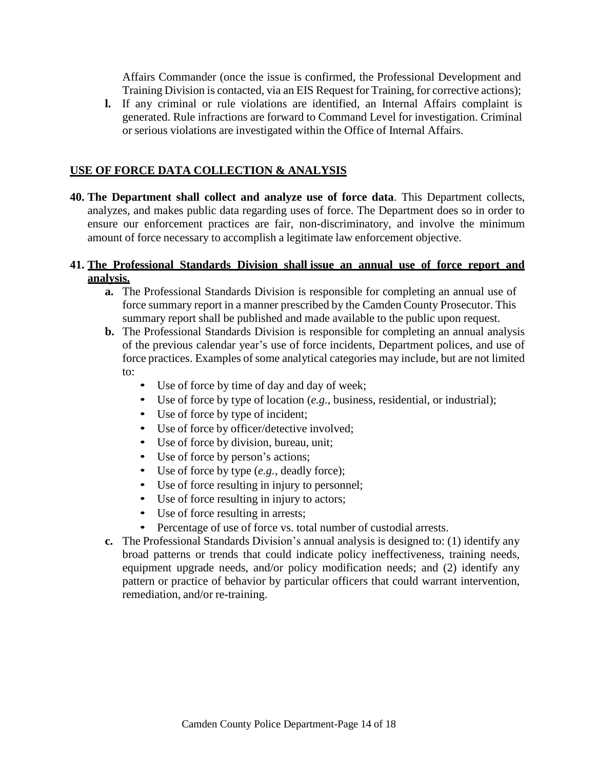Affairs Commander (once the issue is confirmed, the Professional Development and Training Division is contacted, via an EIS Request for Training, for corrective actions);

**l.** If any criminal or rule violations are identified, an Internal Affairs complaint is generated. Rule infractions are forward to Command Level for investigation. Criminal or serious violations are investigated within the Office of Internal Affairs.

## <span id="page-13-0"></span>**USE OF FORCE DATA COLLECTION & ANALYSIS**

**40. The Department shall collect and analyze use of force data**. This Department collects, analyzes, and makes public data regarding uses of force. The Department does so in order to ensure our enforcement practices are fair, non-discriminatory, and involve the minimum amount of force necessary to accomplish a legitimate law enforcement objective.

#### **41. The Professional Standards Division shall issue an annual use of force report and analysis.**

- **a.** The Professional Standards Division is responsible for completing an annual use of force summary report in a manner prescribed by the Camden County Prosecutor. This summary report shall be published and made available to the public upon request.
- **b.** The Professional Standards Division is responsible for completing an annual analysis of the previous calendar year's use of force incidents, Department polices, and use of force practices. Examples of some analytical categories may include, but are not limited to:
	- Use of force by time of day and day of week;
	- Use of force by type of location (*e.g.*, business, residential, or industrial);
	- Use of force by type of incident;
	- Use of force by officer/detective involved;
	- Use of force by division, bureau, unit;
	- Use of force by person's actions;
	- Use of force by type (*e.g.*, deadly force);
	- Use of force resulting in injury to personnel;
	- Use of force resulting in injury to actors;
	- Use of force resulting in arrests;
	- Percentage of use of force vs. total number of custodial arrests.
- **c.** The Professional Standards Division's annual analysis is designed to: (1) identify any broad patterns or trends that could indicate policy ineffectiveness, training needs, equipment upgrade needs, and/or policy modification needs; and (2) identify any pattern or practice of behavior by particular officers that could warrant intervention, remediation, and/or re-training.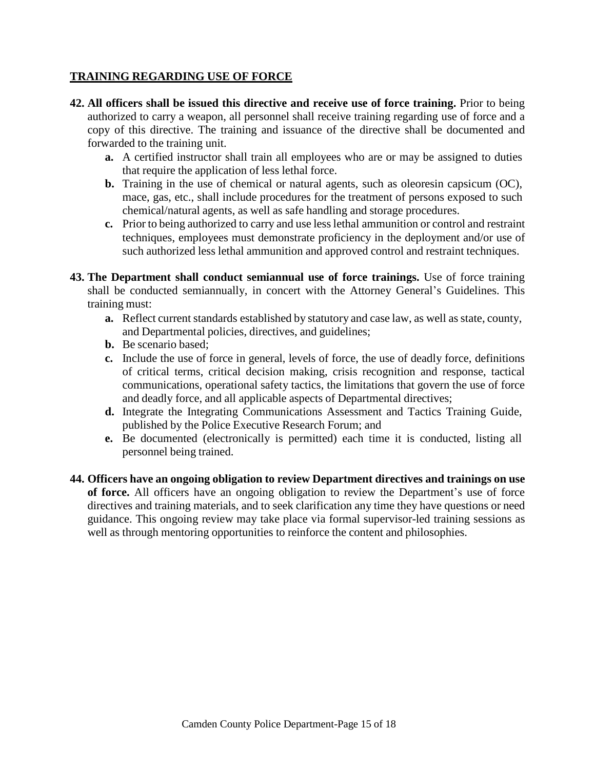## <span id="page-14-0"></span>**TRAINING REGARDING USE OF FORCE**

- **42. All officers shall be issued this directive and receive use of force training.** Prior to being authorized to carry a weapon, all personnel shall receive training regarding use of force and a copy of this directive. The training and issuance of the directive shall be documented and forwarded to the training unit.
	- **a.** A certified instructor shall train all employees who are or may be assigned to duties that require the application of less lethal force.
	- **b.** Training in the use of chemical or natural agents, such as oleoresin capsicum (OC), mace, gas, etc., shall include procedures for the treatment of persons exposed to such chemical/natural agents, as well as safe handling and storage procedures.
	- **c.** Prior to being authorized to carry and use lesslethal ammunition or control and restraint techniques, employees must demonstrate proficiency in the deployment and/or use of such authorized less lethal ammunition and approved control and restraint techniques.
- **43. The Department shall conduct semiannual use of force trainings.** Use of force training shall be conducted semiannually, in concert with the Attorney General's Guidelines. This training must:
	- **a.** Reflect current standards established by statutory and case law, as well as state, county, and Departmental policies, directives, and guidelines;
	- **b.** Be scenario based;
	- **c.** Include the use of force in general, levels of force, the use of deadly force, definitions of critical terms, critical decision making, crisis recognition and response, tactical communications, operational safety tactics, the limitations that govern the use of force and deadly force, and all applicable aspects of Departmental directives;
	- **d.** Integrate the Integrating Communications Assessment and Tactics Training Guide, published by the Police Executive Research Forum; and
	- **e.** Be documented (electronically is permitted) each time it is conducted, listing all personnel being trained.
- **44. Officers have an ongoing obligation to review Department directives and trainings on use of force.** All officers have an ongoing obligation to review the Department's use of force directives and training materials, and to seek clarification any time they have questions or need guidance. This ongoing review may take place via formal supervisor-led training sessions as well as through mentoring opportunities to reinforce the content and philosophies.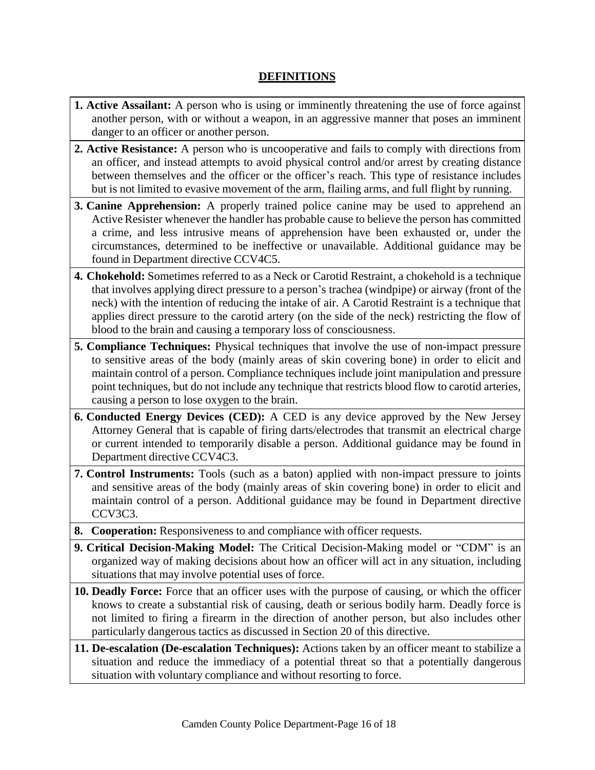# **DEFINITIONS**

- <span id="page-15-0"></span>**1. Active Assailant:** A person who is using or imminently threatening the use of force against another person, with or without a weapon, in an aggressive manner that poses an imminent danger to an officer or another person.
- **2. Active Resistance:** A person who is uncooperative and fails to comply with directions from an officer, and instead attempts to avoid physical control and/or arrest by creating distance between themselves and the officer or the officer's reach. This type of resistance includes but is not limited to evasive movement of the arm, flailing arms, and full flight by running.
- **3. Canine Apprehension:** A properly trained police canine may be used to apprehend an Active Resister whenever the handler has probable cause to believe the person has committed a crime, and less intrusive means of apprehension have been exhausted or, under the circumstances, determined to be ineffective or unavailable. Additional guidance may be found in Department directive CCV4C5.
- **4. Chokehold:** Sometimes referred to as a Neck or Carotid Restraint, a chokehold is a technique that involves applying direct pressure to a person's trachea (windpipe) or airway (front of the neck) with the intention of reducing the intake of air. A Carotid Restraint is a technique that applies direct pressure to the carotid artery (on the side of the neck) restricting the flow of blood to the brain and causing a temporary loss of consciousness.
- **5. Compliance Techniques:** Physical techniques that involve the use of non-impact pressure to sensitive areas of the body (mainly areas of skin covering bone) in order to elicit and maintain control of a person. Compliance techniques include joint manipulation and pressure point techniques, but do not include any technique that restricts blood flow to carotid arteries, causing a person to lose oxygen to the brain.
- **6. Conducted Energy Devices (CED):** A CED is any device approved by the New Jersey Attorney General that is capable of firing darts/electrodes that transmit an electrical charge or current intended to temporarily disable a person. Additional guidance may be found in Department directive CCV4C3.
- **7. Control Instruments:** Tools (such as a baton) applied with non-impact pressure to joints and sensitive areas of the body (mainly areas of skin covering bone) in order to elicit and maintain control of a person. Additional guidance may be found in Department directive CCV3C3.
- **8. Cooperation:** Responsiveness to and compliance with officer requests.
- **9. Critical Decision-Making Model:** The Critical Decision-Making model or "CDM" is an organized way of making decisions about how an officer will act in any situation, including situations that may involve potential uses of force.
- **10. Deadly Force:** Force that an officer uses with the purpose of causing, or which the officer knows to create a substantial risk of causing, death or serious bodily harm. Deadly force is not limited to firing a firearm in the direction of another person, but also includes other particularly dangerous tactics as discussed in Section 20 of this directive.
- **11. De-escalation (De-escalation Techniques):** Actions taken by an officer meant to stabilize a situation and reduce the immediacy of a potential threat so that a potentially dangerous situation with voluntary compliance and without resorting to force.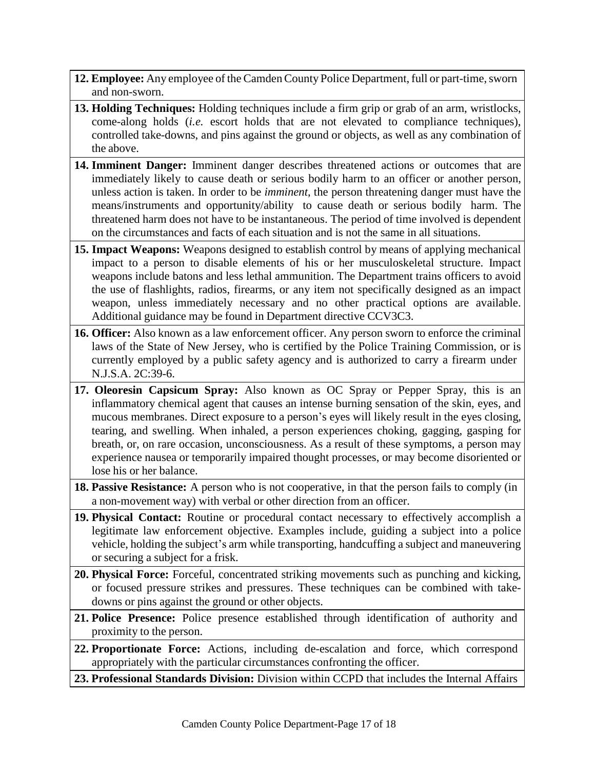- 12. **Employee:** Any employee of the Camden County Police Department, full or part-time, sworn and non-sworn.
- **13. Holding Techniques:** Holding techniques include a firm grip or grab of an arm, wristlocks, come-along holds (*i.e.* escort holds that are not elevated to compliance techniques), controlled take-downs, and pins against the ground or objects, as well as any combination of the above.
- **14. Imminent Danger:** Imminent danger describes threatened actions or outcomes that are immediately likely to cause death or serious bodily harm to an officer or another person, unless action is taken. In order to be *imminent*, the person threatening danger must have the means/instruments and opportunity/ability to cause death or serious bodily harm. The threatened harm does not have to be instantaneous. The period of time involved is dependent on the circumstances and facts of each situation and is not the same in all situations.
- **15. Impact Weapons:** Weapons designed to establish control by means of applying mechanical impact to a person to disable elements of his or her musculoskeletal structure. Impact weapons include batons and less lethal ammunition. The Department trains officers to avoid the use of flashlights, radios, firearms, or any item not specifically designed as an impact weapon, unless immediately necessary and no other practical options are available. Additional guidance may be found in Department directive CCV3C3.
- **16. Officer:** Also known as a law enforcement officer. Any person sworn to enforce the criminal laws of the State of New Jersey, who is certified by the Police Training Commission, or is currently employed by a public safety agency and is authorized to carry a firearm under N.J.S.A. 2C:39-6.
- **17. Oleoresin Capsicum Spray:** Also known as OC Spray or Pepper Spray, this is an inflammatory chemical agent that causes an intense burning sensation of the skin, eyes, and mucous membranes. Direct exposure to a person's eyes will likely result in the eyes closing, tearing, and swelling. When inhaled, a person experiences choking, gagging, gasping for breath, or, on rare occasion, unconsciousness. As a result of these symptoms, a person may experience nausea or temporarily impaired thought processes, or may become disoriented or lose his or her balance.
- **18. Passive Resistance:** A person who is not cooperative, in that the person fails to comply (in a non-movement way) with verbal or other direction from an officer.
- **19. Physical Contact:** Routine or procedural contact necessary to effectively accomplish a legitimate law enforcement objective. Examples include, guiding a subject into a police vehicle, holding the subject's arm while transporting, handcuffing a subject and maneuvering or securing a subject for a frisk.
- **20. Physical Force:** Forceful, concentrated striking movements such as punching and kicking, or focused pressure strikes and pressures. These techniques can be combined with takedowns or pins against the ground or other objects.
- **21. Police Presence:** Police presence established through identification of authority and proximity to the person.
- **22. Proportionate Force:** Actions, including de-escalation and force, which correspond appropriately with the particular circumstances confronting the officer.
- **23. Professional Standards Division:** Division within CCPD that includes the Internal Affairs